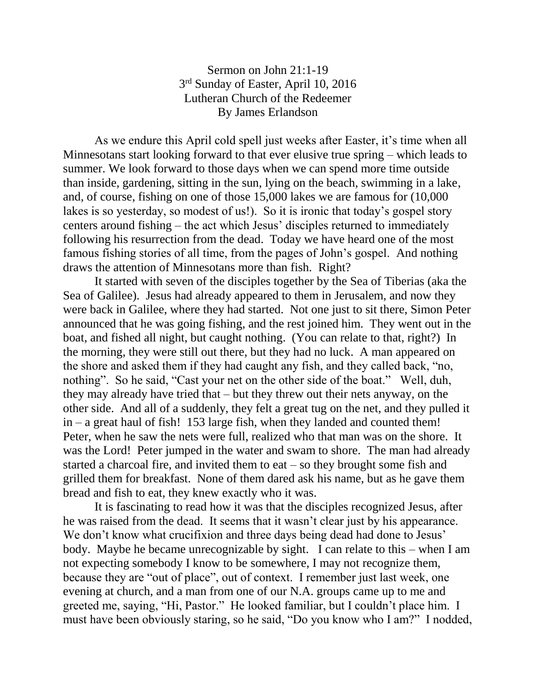## Sermon on John 21:1-19 3<sup>rd</sup> Sunday of Easter, April 10, 2016 Lutheran Church of the Redeemer By James Erlandson

As we endure this April cold spell just weeks after Easter, it's time when all Minnesotans start looking forward to that ever elusive true spring – which leads to summer. We look forward to those days when we can spend more time outside than inside, gardening, sitting in the sun, lying on the beach, swimming in a lake, and, of course, fishing on one of those 15,000 lakes we are famous for (10,000 lakes is so yesterday, so modest of us!). So it is ironic that today's gospel story centers around fishing – the act which Jesus' disciples returned to immediately following his resurrection from the dead. Today we have heard one of the most famous fishing stories of all time, from the pages of John's gospel. And nothing draws the attention of Minnesotans more than fish. Right?

It started with seven of the disciples together by the Sea of Tiberias (aka the Sea of Galilee). Jesus had already appeared to them in Jerusalem, and now they were back in Galilee, where they had started. Not one just to sit there, Simon Peter announced that he was going fishing, and the rest joined him. They went out in the boat, and fished all night, but caught nothing. (You can relate to that, right?) In the morning, they were still out there, but they had no luck. A man appeared on the shore and asked them if they had caught any fish, and they called back, "no, nothing". So he said, "Cast your net on the other side of the boat." Well, duh, they may already have tried that – but they threw out their nets anyway, on the other side. And all of a suddenly, they felt a great tug on the net, and they pulled it in – a great haul of fish! 153 large fish, when they landed and counted them! Peter, when he saw the nets were full, realized who that man was on the shore. It was the Lord! Peter jumped in the water and swam to shore. The man had already started a charcoal fire, and invited them to eat – so they brought some fish and grilled them for breakfast. None of them dared ask his name, but as he gave them bread and fish to eat, they knew exactly who it was.

It is fascinating to read how it was that the disciples recognized Jesus, after he was raised from the dead. It seems that it wasn't clear just by his appearance. We don't know what crucifixion and three days being dead had done to Jesus' body. Maybe he became unrecognizable by sight. I can relate to this – when I am not expecting somebody I know to be somewhere, I may not recognize them, because they are "out of place", out of context. I remember just last week, one evening at church, and a man from one of our N.A. groups came up to me and greeted me, saying, "Hi, Pastor." He looked familiar, but I couldn't place him. I must have been obviously staring, so he said, "Do you know who I am?" I nodded,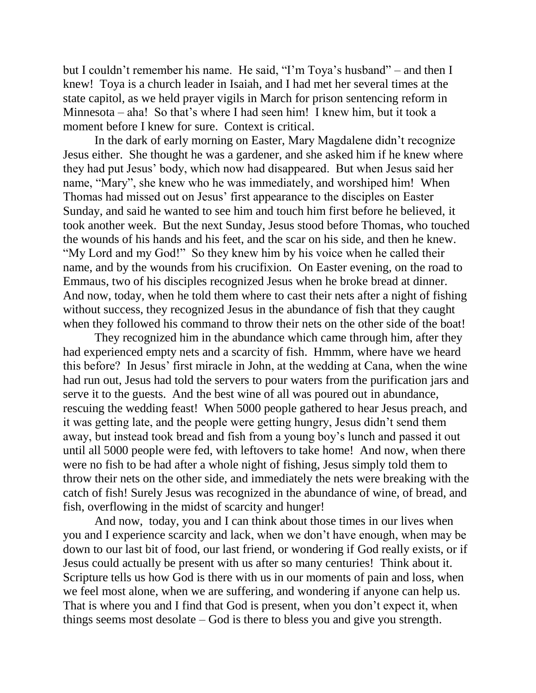but I couldn't remember his name. He said, "I'm Toya's husband" – and then I knew! Toya is a church leader in Isaiah, and I had met her several times at the state capitol, as we held prayer vigils in March for prison sentencing reform in Minnesota – aha! So that's where I had seen him! I knew him, but it took a moment before I knew for sure. Context is critical.

In the dark of early morning on Easter, Mary Magdalene didn't recognize Jesus either. She thought he was a gardener, and she asked him if he knew where they had put Jesus' body, which now had disappeared. But when Jesus said her name, "Mary", she knew who he was immediately, and worshiped him! When Thomas had missed out on Jesus' first appearance to the disciples on Easter Sunday, and said he wanted to see him and touch him first before he believed, it took another week. But the next Sunday, Jesus stood before Thomas, who touched the wounds of his hands and his feet, and the scar on his side, and then he knew. "My Lord and my God!" So they knew him by his voice when he called their name, and by the wounds from his crucifixion. On Easter evening, on the road to Emmaus, two of his disciples recognized Jesus when he broke bread at dinner. And now, today, when he told them where to cast their nets after a night of fishing without success, they recognized Jesus in the abundance of fish that they caught when they followed his command to throw their nets on the other side of the boat!

They recognized him in the abundance which came through him, after they had experienced empty nets and a scarcity of fish. Hmmm, where have we heard this before? In Jesus' first miracle in John, at the wedding at Cana, when the wine had run out, Jesus had told the servers to pour waters from the purification jars and serve it to the guests. And the best wine of all was poured out in abundance, rescuing the wedding feast! When 5000 people gathered to hear Jesus preach, and it was getting late, and the people were getting hungry, Jesus didn't send them away, but instead took bread and fish from a young boy's lunch and passed it out until all 5000 people were fed, with leftovers to take home! And now, when there were no fish to be had after a whole night of fishing, Jesus simply told them to throw their nets on the other side, and immediately the nets were breaking with the catch of fish! Surely Jesus was recognized in the abundance of wine, of bread, and fish, overflowing in the midst of scarcity and hunger!

And now, today, you and I can think about those times in our lives when you and I experience scarcity and lack, when we don't have enough, when may be down to our last bit of food, our last friend, or wondering if God really exists, or if Jesus could actually be present with us after so many centuries! Think about it. Scripture tells us how God is there with us in our moments of pain and loss, when we feel most alone, when we are suffering, and wondering if anyone can help us. That is where you and I find that God is present, when you don't expect it, when things seems most desolate – God is there to bless you and give you strength.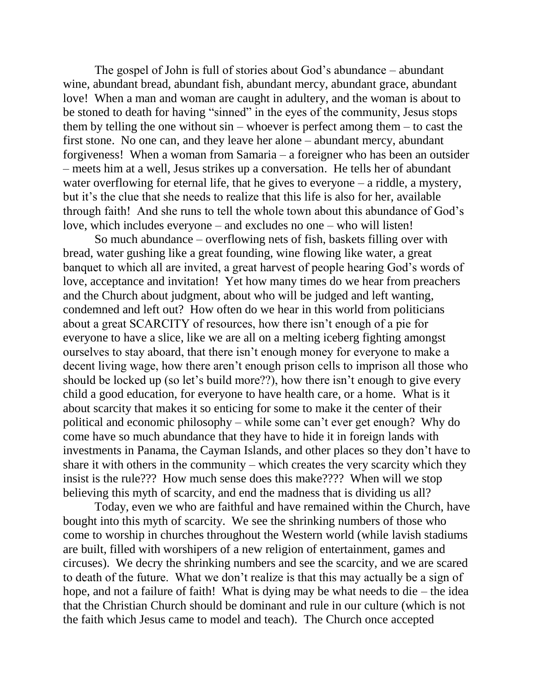The gospel of John is full of stories about God's abundance – abundant wine, abundant bread, abundant fish, abundant mercy, abundant grace, abundant love! When a man and woman are caught in adultery, and the woman is about to be stoned to death for having "sinned" in the eyes of the community, Jesus stops them by telling the one without  $sin -$  whoever is perfect among them  $-$  to cast the first stone. No one can, and they leave her alone – abundant mercy, abundant forgiveness! When a woman from Samaria – a foreigner who has been an outsider – meets him at a well, Jesus strikes up a conversation. He tells her of abundant water overflowing for eternal life, that he gives to everyone – a riddle, a mystery, but it's the clue that she needs to realize that this life is also for her, available through faith! And she runs to tell the whole town about this abundance of God's love, which includes everyone – and excludes no one – who will listen!

So much abundance – overflowing nets of fish, baskets filling over with bread, water gushing like a great founding, wine flowing like water, a great banquet to which all are invited, a great harvest of people hearing God's words of love, acceptance and invitation! Yet how many times do we hear from preachers and the Church about judgment, about who will be judged and left wanting, condemned and left out? How often do we hear in this world from politicians about a great SCARCITY of resources, how there isn't enough of a pie for everyone to have a slice, like we are all on a melting iceberg fighting amongst ourselves to stay aboard, that there isn't enough money for everyone to make a decent living wage, how there aren't enough prison cells to imprison all those who should be locked up (so let's build more??), how there isn't enough to give every child a good education, for everyone to have health care, or a home. What is it about scarcity that makes it so enticing for some to make it the center of their political and economic philosophy – while some can't ever get enough? Why do come have so much abundance that they have to hide it in foreign lands with investments in Panama, the Cayman Islands, and other places so they don't have to share it with others in the community – which creates the very scarcity which they insist is the rule??? How much sense does this make???? When will we stop believing this myth of scarcity, and end the madness that is dividing us all?

Today, even we who are faithful and have remained within the Church, have bought into this myth of scarcity. We see the shrinking numbers of those who come to worship in churches throughout the Western world (while lavish stadiums are built, filled with worshipers of a new religion of entertainment, games and circuses). We decry the shrinking numbers and see the scarcity, and we are scared to death of the future. What we don't realize is that this may actually be a sign of hope, and not a failure of faith! What is dying may be what needs to die – the idea that the Christian Church should be dominant and rule in our culture (which is not the faith which Jesus came to model and teach). The Church once accepted